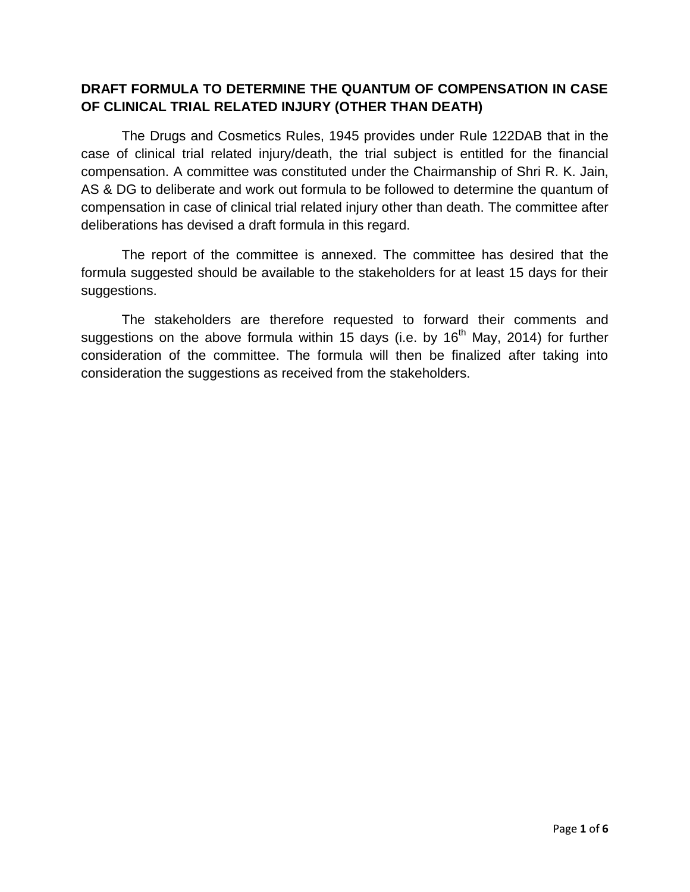#### **DRAFT FORMULA TO DETERMINE THE QUANTUM OF COMPENSATION IN CASE OF CLINICAL TRIAL RELATED INJURY (OTHER THAN DEATH)**

The Drugs and Cosmetics Rules, 1945 provides under Rule 122DAB that in the case of clinical trial related injury/death, the trial subject is entitled for the financial compensation. A committee was constituted under the Chairmanship of Shri R. K. Jain, AS & DG to deliberate and work out formula to be followed to determine the quantum of compensation in case of clinical trial related injury other than death. The committee after deliberations has devised a draft formula in this regard.

The report of the committee is annexed. The committee has desired that the formula suggested should be available to the stakeholders for at least 15 days for their suggestions.

The stakeholders are therefore requested to forward their comments and suggestions on the above formula within 15 days (i.e. by 16<sup>th</sup> May, 2014) for further consideration of the committee. The formula will then be finalized after taking into consideration the suggestions as received from the stakeholders.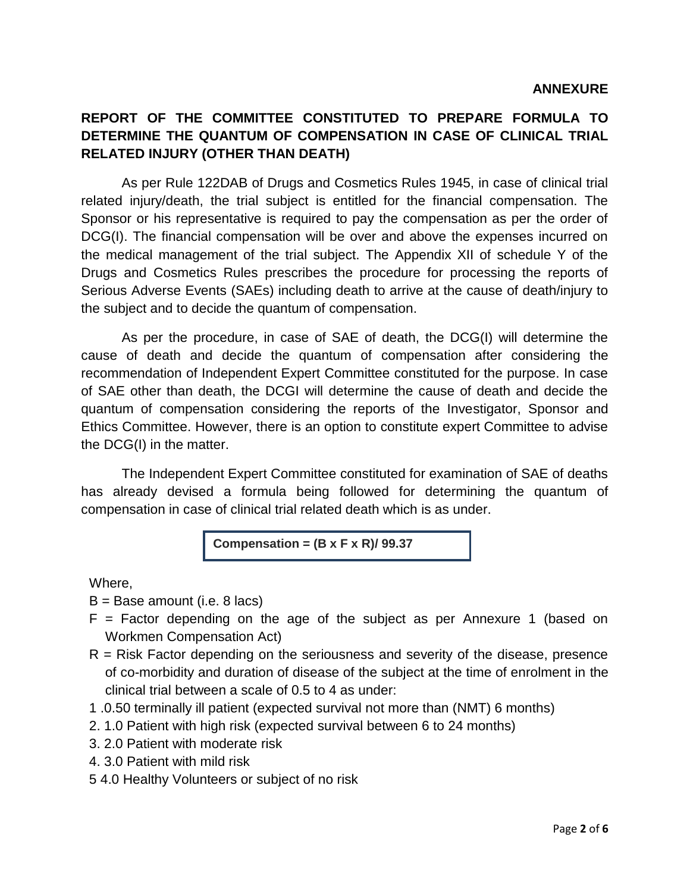## **REPORT OF THE COMMITTEE CONSTITUTED TO PREPARE FORMULA TO DETERMINE THE QUANTUM OF COMPENSATION IN CASE OF CLINICAL TRIAL RELATED INJURY (OTHER THAN DEATH)**

As per Rule 122DAB of Drugs and Cosmetics Rules 1945, in case of clinical trial related injury/death, the trial subject is entitled for the financial compensation. The Sponsor or his representative is required to pay the compensation as per the order of DCG(I). The financial compensation will be over and above the expenses incurred on the medical management of the trial subject. The Appendix XII of schedule Y of the Drugs and Cosmetics Rules prescribes the procedure for processing the reports of Serious Adverse Events (SAEs) including death to arrive at the cause of death/injury to the subject and to decide the quantum of compensation.

As per the procedure, in case of SAE of death, the DCG(I) will determine the cause of death and decide the quantum of compensation after considering the recommendation of Independent Expert Committee constituted for the purpose. In case of SAE other than death, the DCGI will determine the cause of death and decide the quantum of compensation considering the reports of the Investigator, Sponsor and Ethics Committee. However, there is an option to constitute expert Committee to advise the DCG(I) in the matter.

The Independent Expert Committee constituted for examination of SAE of deaths has already devised a formula being followed for determining the quantum of compensation in case of clinical trial related death which is as under.

**Compensation = (B x F x R)/ 99.37**

Where,

- $B =$  Base amount (i.e. 8 lacs)
- $F =$  Factor depending on the age of the subject as per Annexure 1 (based on Workmen Compensation Act)
- $R$  = Risk Factor depending on the seriousness and severity of the disease, presence of co-morbidity and duration of disease of the subject at the time of enrolment in the clinical trial between a scale of 0.5 to 4 as under:
- 1 .0.50 terminally ill patient (expected survival not more than (NMT) 6 months)
- 2. 1.0 Patient with high risk (expected survival between 6 to 24 months)
- 3. 2.0 Patient with moderate risk
- 4. 3.0 Patient with mild risk
- 5 4.0 Healthy Volunteers or subject of no risk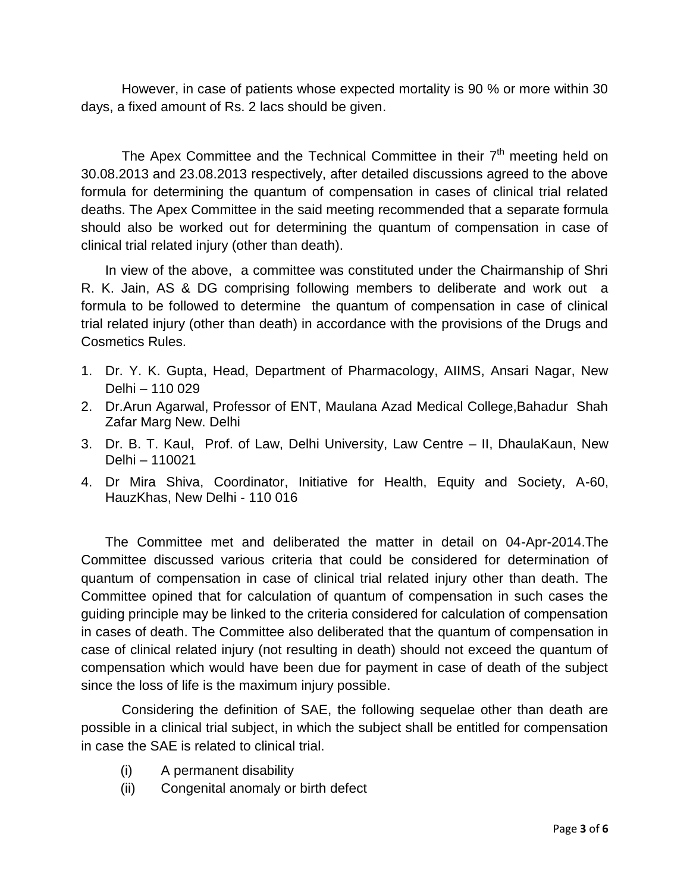However, in case of patients whose expected mortality is 90 % or more within 30 days, a fixed amount of Rs. 2 lacs should be given.

The Apex Committee and the Technical Committee in their  $7<sup>th</sup>$  meeting held on 30.08.2013 and 23.08.2013 respectively, after detailed discussions agreed to the above formula for determining the quantum of compensation in cases of clinical trial related deaths. The Apex Committee in the said meeting recommended that a separate formula should also be worked out for determining the quantum of compensation in case of clinical trial related injury (other than death).

In view of the above, a committee was constituted under the Chairmanship of Shri R. K. Jain, AS & DG comprising following members to deliberate and work out a formula to be followed to determine the quantum of compensation in case of clinical trial related injury (other than death) in accordance with the provisions of the Drugs and Cosmetics Rules.

- 1. Dr. Y. K. Gupta, Head, Department of Pharmacology, AIIMS, Ansari Nagar, New Delhi – 110 029
- 2. Dr.Arun Agarwal, Professor of ENT, Maulana Azad Medical College,Bahadur Shah Zafar Marg New. Delhi
- 3. Dr. B. T. Kaul, Prof. of Law, Delhi University, Law Centre II, DhaulaKaun, New Delhi – 110021
- 4. Dr Mira Shiva, Coordinator, Initiative for Health, Equity and Society, A-60, HauzKhas, New Delhi - 110 016

The Committee met and deliberated the matter in detail on 04-Apr-2014.The Committee discussed various criteria that could be considered for determination of quantum of compensation in case of clinical trial related injury other than death. The Committee opined that for calculation of quantum of compensation in such cases the guiding principle may be linked to the criteria considered for calculation of compensation in cases of death. The Committee also deliberated that the quantum of compensation in case of clinical related injury (not resulting in death) should not exceed the quantum of compensation which would have been due for payment in case of death of the subject since the loss of life is the maximum injury possible.

Considering the definition of SAE, the following sequelae other than death are possible in a clinical trial subject, in which the subject shall be entitled for compensation in case the SAE is related to clinical trial.

- (i) A permanent disability
- (ii) Congenital anomaly or birth defect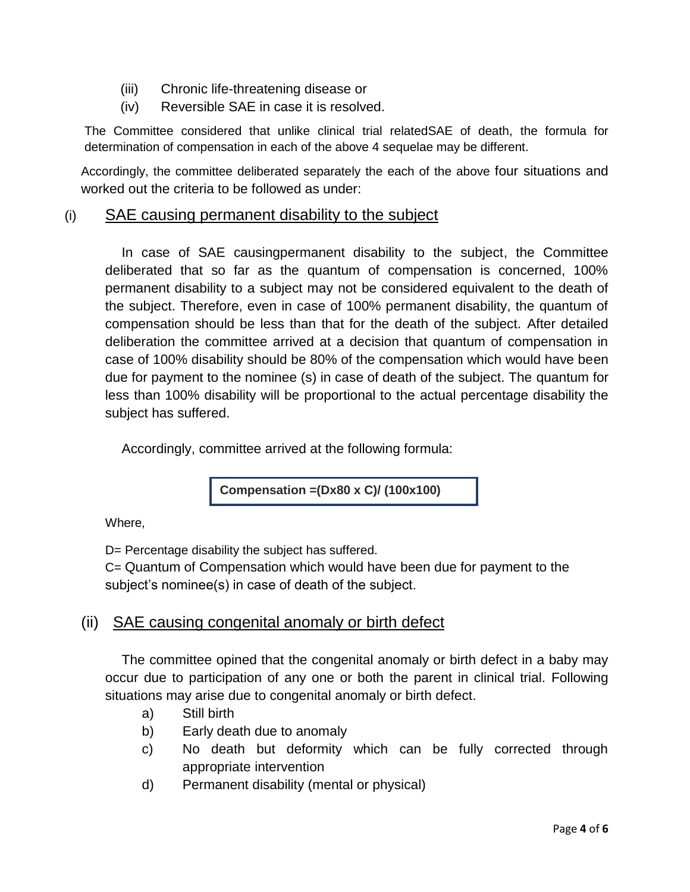- (iii) Chronic life-threatening disease or
- (iv) Reversible SAE in case it is resolved.

The Committee considered that unlike clinical trial relatedSAE of death, the formula for determination of compensation in each of the above 4 sequelae may be different.

Accordingly, the committee deliberated separately the each of the above four situations and worked out the criteria to be followed as under:

#### (i) SAE causing permanent disability to the subject

In case of SAE causingpermanent disability to the subject, the Committee deliberated that so far as the quantum of compensation is concerned, 100% permanent disability to a subject may not be considered equivalent to the death of the subject. Therefore, even in case of 100% permanent disability, the quantum of compensation should be less than that for the death of the subject. After detailed deliberation the committee arrived at a decision that quantum of compensation in case of 100% disability should be 80% of the compensation which would have been due for payment to the nominee (s) in case of death of the subject. The quantum for less than 100% disability will be proportional to the actual percentage disability the subject has suffered.

Accordingly, committee arrived at the following formula:

**Compensation =(Dx80 x C)/ (100x100)**

Where,

D= Percentage disability the subject has suffered.

C= Quantum of Compensation which would have been due for payment to the subject's nominee(s) in case of death of the subject.

### (ii) SAE causing congenital anomaly or birth defect

The committee opined that the congenital anomaly or birth defect in a baby may occur due to participation of any one or both the parent in clinical trial. Following situations may arise due to congenital anomaly or birth defect.

- a) Still birth
- b) Early death due to anomaly
- c) No death but deformity which can be fully corrected through appropriate intervention
- d) Permanent disability (mental or physical)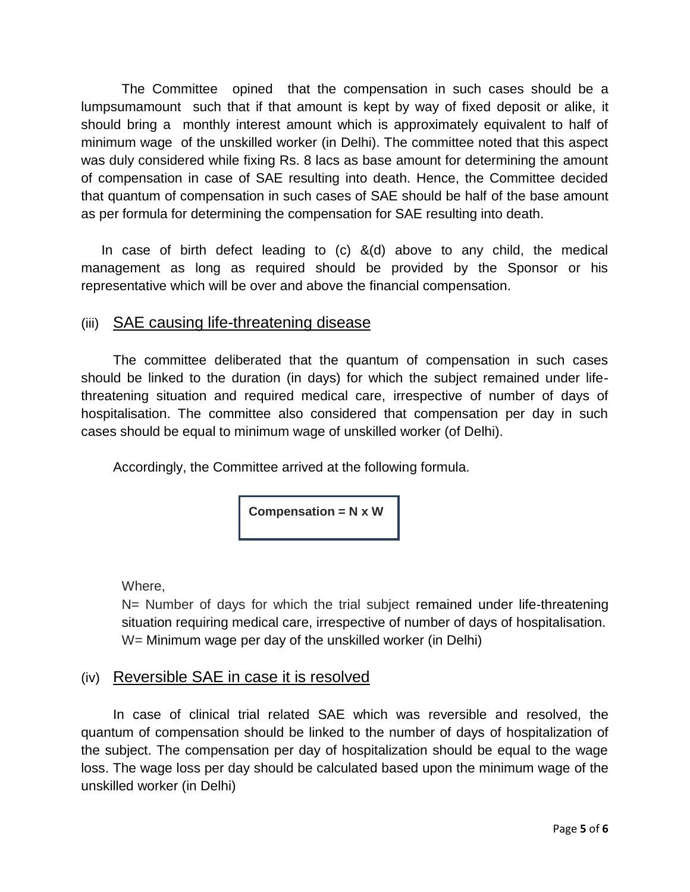The Committee opined that the compensation in such cases should be a lumpsumamount such that if that amount is kept by way of fixed deposit or alike, it should bring a monthly interest amount which is approximately equivalent to half of minimum wage of the unskilled worker (in Delhi). The committee noted that this aspect was duly considered while fixing Rs. 8 lacs as base amount for determining the amount of compensation in case of SAE resulting into death. Hence, the Committee decided that quantum of compensation in such cases of SAE should be half of the base amount as per formula for determining the compensation for SAE resulting into death.

In case of birth defect leading to  $(c)$   $\&(d)$  above to any child, the medical management as long as required should be provided by the Sponsor or his representative which will be over and above the financial compensation.

### (iii) SAE causing life-threatening disease

The committee deliberated that the quantum of compensation in such cases should be linked to the duration (in days) for which the subject remained under lifethreatening situation and required medical care, irrespective of number of days of hospitalisation. The committee also considered that compensation per day in such cases should be equal to minimum wage of unskilled worker (of Delhi).

Accordingly, the Committee arrived at the following formula.

**Compensation = N x W** 

Where,

N= Number of days for which the trial subject remained under life-threatening situation requiring medical care, irrespective of number of days of hospitalisation. W= Minimum wage per day of the unskilled worker (in Delhi)

# (iv) Reversible SAE in case it is resolved

In case of clinical trial related SAE which was reversible and resolved, the quantum of compensation should be linked to the number of days of hospitalization of the subject. The compensation per day of hospitalization should be equal to the wage loss. The wage loss per day should be calculated based upon the minimum wage of the unskilled worker (in Delhi)